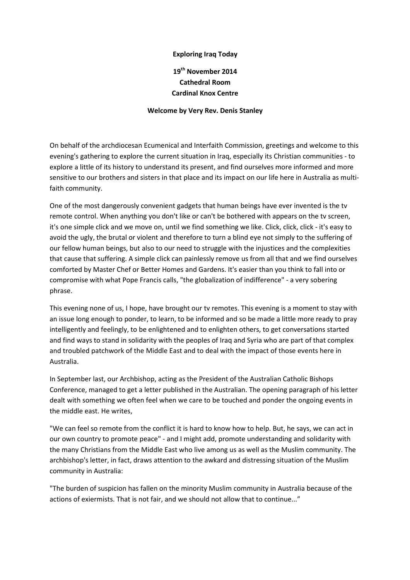## Exploring Iraq Today

## 19<sup>th</sup> November 2014 Cathedral Room Cardinal Knox Centre

## Welcome by Very Rev. Denis Stanley

On behalf of the archdiocesan Ecumenical and Interfaith Commission, greetings and welcome to this evening's gathering to explore the current situation in Iraq, especially its Christian communities - to explore a little of its history to understand its present, and find ourselves more informed and more sensitive to our brothers and sisters in that place and its impact on our life here in Australia as multifaith community.

One of the most dangerously convenient gadgets that human beings have ever invented is the tv remote control. When anything you don't like or can't be bothered with appears on the tv screen, it's one simple click and we move on, until we find something we like. Click, click, click - it's easy to avoid the ugly, the brutal or violent and therefore to turn a blind eye not simply to the suffering of our fellow human beings, but also to our need to struggle with the injustices and the complexities that cause that suffering. A simple click can painlessly remove us from all that and we find ourselves comforted by Master Chef or Better Homes and Gardens. It's easier than you think to fall into or compromise with what Pope Francis calls, "the globalization of indifference" - a very sobering phrase.

This evening none of us, I hope, have brought our tv remotes. This evening is a moment to stay with an issue long enough to ponder, to learn, to be informed and so be made a little more ready to pray intelligently and feelingly, to be enlightened and to enlighten others, to get conversations started and find ways to stand in solidarity with the peoples of Iraq and Syria who are part of that complex and troubled patchwork of the Middle East and to deal with the impact of those events here in Australia.

In September last, our Archbishop, acting as the President of the Australian Catholic Bishops Conference, managed to get a letter published in the Australian. The opening paragraph of his letter dealt with something we often feel when we care to be touched and ponder the ongoing events in the middle east. He writes,

"We can feel so remote from the conflict it is hard to know how to help. But, he says, we can act in our own country to promote peace" - and I might add, promote understanding and solidarity with the many Christians from the Middle East who live among us as well as the Muslim community. The archbishop's letter, in fact, draws attention to the awkard and distressing situation of the Muslim community in Australia:

"The burden of suspicion has fallen on the minority Muslim community in Australia because of the actions of exiermists. That is not fair, and we should not allow that to continue..."